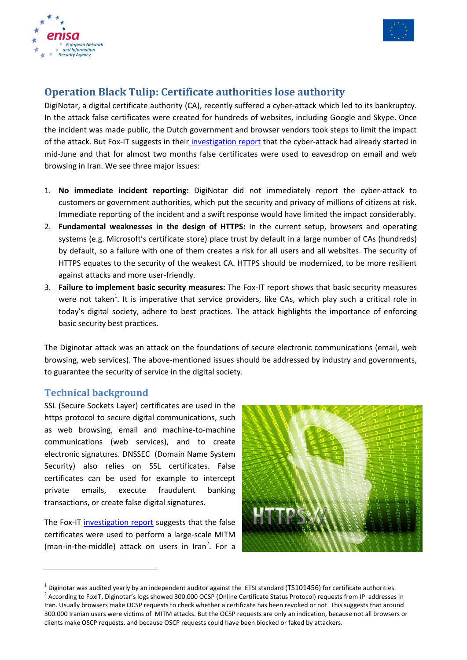



## **Operation Black Tulip: Certificate authorities lose authority**

DigiNotar, a digital certificate authority (CA), recently suffered a cyber-attack which led to its bankruptcy. In the attack false certificates were created for hundreds of websites, including Google and Skype. Once the incident was made public, the Dutch government and browser vendors took steps to limit the impact of the attack. But Fox-IT suggests in their [investigation report](http://www.rijksoverheid.nl/documenten-en-publicaties/rapporten/2011/09/05/diginotar-public-report-version-1.html) that the cyber-attack had already started in mid-June and that for almost two months false certificates were used to eavesdrop on email and web browsing in Iran. We see three major issues:

- 1. **No immediate incident reporting:** DigiNotar did not immediately report the cyber-attack to customers or government authorities, which put the security and privacy of millions of citizens at risk. Immediate reporting of the incident and a swift response would have limited the impact considerably.
- 2. **Fundamental weaknesses in the design of HTTPS:** In the current setup, browsers and operating systems (e.g. Microsoft's certificate store) place trust by default in a large number of CAs (hundreds) by default, so a failure with one of them creates a risk for all users and all websites. The security of HTTPS equates to the security of the weakest CA. HTTPS should be modernized, to be more resilient against attacks and more user-friendly.
- 3. **Failure to implement basic security measures:** The Fox-IT report shows that basic security measures were not taken<sup>1</sup>. It is imperative that service providers, like CAs, which play such a critical role in today's digital society, adhere to best practices. The attack highlights the importance of enforcing basic security best practices.

The Diginotar attack was an attack on the foundations of secure electronic communications (email, web browsing, web services). The above-mentioned issues should be addressed by industry and governments, to guarantee the security of service in the digital society.

## **Technical background**

1

SSL (Secure Sockets Layer) certificates are used in the https protocol to secure digital communications, such as web browsing, email and machine-to-machine communications (web services), and to create electronic signatures. DNSSEC (Domain Name System Security) also relies on SSL certificates. False certificates can be used for example to intercept private emails, execute fraudulent banking transactions, or create false digital signatures.

The Fox-IT [investigation report](http://www.rijksoverheid.nl/documenten-en-publicaties/rapporten/2011/09/05/diginotar-public-report-version-1.html) suggests that the false certificates were used to perform a large-scale MITM (man-in-the-middle) attack on users in Iran<sup>2</sup>. For a



 $^1$  Diginotar was audited yearly by an independent auditor against the ETSI standard (TS101456) for certificate authorities.

<sup>&</sup>lt;sup>2</sup> According to FoxIT, Diginotar's logs showed 300.000 OCSP (Online Certificate Status Protocol) requests from IP addresses in Iran. Usually browsers make OCSP requests to check whether a certificate has been revoked or not. This suggests that around 300.000 Iranian users were victims of MITM attacks. But the OCSP requests are only an indication, because not all browsers or clients make OSCP requests, and because OSCP requests could have been blocked or faked by attackers.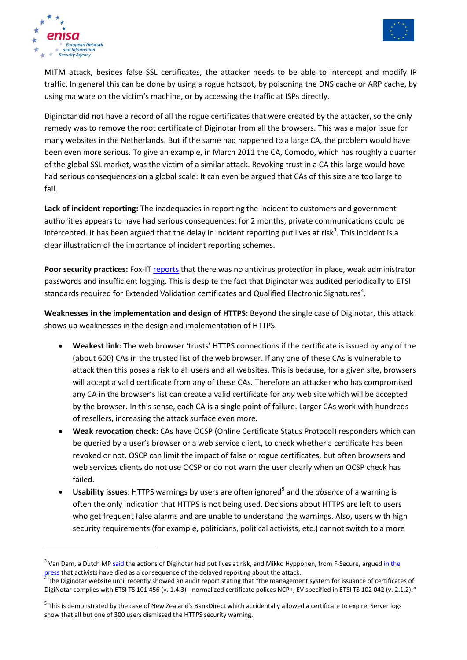



**.** 

MITM attack, besides false SSL certificates, the attacker needs to be able to intercept and modify IP traffic. In general this can be done by using a rogue hotspot, by poisoning the DNS cache or ARP cache, by using malware on the victim's machine, or by accessing the traffic at ISPs directly.

Diginotar did not have a record of all the rogue certificates that were created by the attacker, so the only remedy was to remove the root certificate of Diginotar from all the browsers. This was a major issue for many websites in the Netherlands. But if the same had happened to a large CA, the problem would have been even more serious. To give an example, in March 2011 the CA, Comodo, which has roughly a quarter of the global SSL market, was the victim of a similar attack. Revoking trust in a CA this large would have had serious consequences on a global scale: It can even be argued that CAs of this size are too large to fail.

**Lack of incident reporting:** The inadequacies in reporting the incident to customers and government authorities appears to have had serious consequences: for 2 months, private communications could be intercepted. It has been argued that the delay in incident reporting put lives at risk<sup>3</sup>. This incident is a clear illustration of the importance of incident reporting schemes.

Poor security practices: Fox-IT [reports](http://www.rijksoverheid.nl/documenten-en-publicaties/rapporten/2011/09/05/diginotar-public-report-version-1.html) that there was no antivirus protection in place, weak administrator passwords and insufficient logging. This is despite the fact that Diginotar was audited periodically to ETSI standards required for Extended Validation certificates and Qualified Electronic Signatures<sup>4</sup>.

**Weaknesses in the implementation and design of HTTPS:** Beyond the single case of Diginotar, this attack shows up weaknesses in the design and implementation of HTTPS.

- **Weakest link:** The web browser 'trusts' HTTPS connections if the certificate is issued by any of the (about 600) CAs in the trusted list of the web browser. If any one of these CAs is vulnerable to attack then this poses a risk to all users and all websites. This is because, for a given site, browsers will accept a valid certificate from any of these CAs. Therefore an attacker who has compromised any CA in the browser's list can create a valid certificate for *any* web site which will be accepted by the browser. In this sense, each CA is a single point of failure. Larger CAs work with hundreds of resellers, increasing the attack surface even more.
- **Weak revocation check:** CAs have OCSP (Online Certificate Status Protocol) responders which can be queried by a user's browser or a web service client, to check whether a certificate has been revoked or not. OSCP can limit the impact of false or rogue certificates, but often browsers and web services clients do not use OCSP or do not warn the user clearly when an OCSP check has failed.
- **Usability issues**: HTTPS warnings by users are often ignored<sup>5</sup> and the *absence* of a warning is often the only indication that HTTPS is not being used. Decisions about HTTPS are left to users who get frequent false alarms and are unable to understand the warnings. Also, users with high security requirements (for example, politicians, political activists, etc.) cannot switch to a more

<sup>&</sup>lt;sup>3</sup> Van Dam, a Dutch MP [said](http://webwereld.nl/nieuws/107826/-maak-geheimhouden-hack-diginotar-strafbaar-.html) the actions of Diginotar had put lives at risk, and Mikko Hypponen, from F-Secure, argued in the [press](http://www.nu.nl/internet/2640667/doden-gevallen-in-iran-diginotarhack.html) that activists have died as a consequence of the delayed reporting about the attack.<br><sup>4</sup> The Diginater uphelts until secontly shound an audit report stating that "the management

The Diginotar website until recently showed an audit report stating that "the management system for issuance of certificates of DigiNotar complies with ETSI TS 101 456 (v. 1.4.3) - normalized certificate polices NCP+, EV specified in ETSI TS 102 042 (v. 2.1.2)."

<sup>&</sup>lt;sup>5</sup> This is demonstrated by the case of New Zealand's BankDirect which accidentally allowed a certificate to expire. Server logs show that all but one of 300 users dismissed the HTTPS security warning.